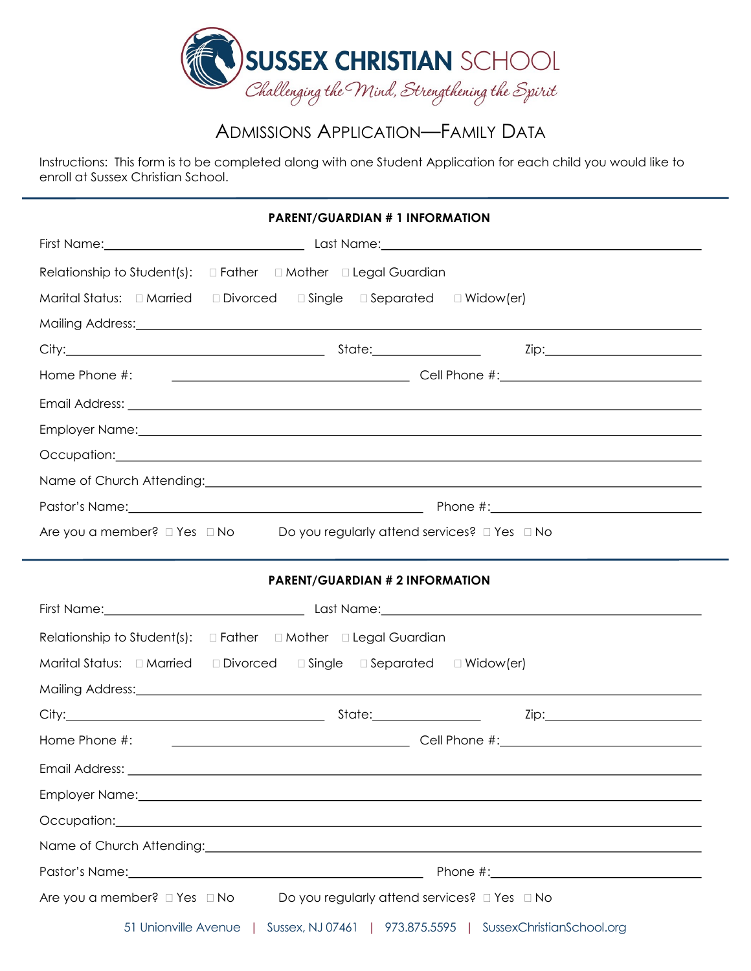

# ADMISSIONS APPLICATION—FAMILY DATA

Instructions: This form is to be completed along with one Student Application for each child you would like to enroll at Sussex Christian School.

| <b>PARENT/GUARDIAN # 1 INFORMATION</b>                                                                              |                                                                                                                                                                                                                                |  |  |  |  |
|---------------------------------------------------------------------------------------------------------------------|--------------------------------------------------------------------------------------------------------------------------------------------------------------------------------------------------------------------------------|--|--|--|--|
|                                                                                                                     |                                                                                                                                                                                                                                |  |  |  |  |
|                                                                                                                     | Relationship to Student(s): $\Box$ Father $\Box$ Mother $\Box$ Legal Guardian                                                                                                                                                  |  |  |  |  |
|                                                                                                                     | Marital Status: $\Box$ Married $\Box$ Divorced $\Box$ Single $\Box$ Separated $\Box$ Widow(er)                                                                                                                                 |  |  |  |  |
|                                                                                                                     | Mailing Address: Notification and the contract of the contract of the contract of the contract of the contract of the contract of the contract of the contract of the contract of the contract of the contract of the contract |  |  |  |  |
|                                                                                                                     |                                                                                                                                                                                                                                |  |  |  |  |
|                                                                                                                     |                                                                                                                                                                                                                                |  |  |  |  |
|                                                                                                                     |                                                                                                                                                                                                                                |  |  |  |  |
|                                                                                                                     | Employer Name: etc. And a state of the state of the state of the state of the state of the state of the state of the state of the state of the state of the state of the state of the state of the state of the state of the s |  |  |  |  |
|                                                                                                                     | Occupation: explorer and the contract of the contract of the contract of the contract of the contract of the contract of the contract of the contract of the contract of the contract of the contract of the contract of the c |  |  |  |  |
|                                                                                                                     | Name of Church Attending: Name of Church Attending:                                                                                                                                                                            |  |  |  |  |
|                                                                                                                     |                                                                                                                                                                                                                                |  |  |  |  |
| Are you a member? $\square$ Yes $\square$ No $\square$ Do you regularly attend services? $\square$ Yes $\square$ No |                                                                                                                                                                                                                                |  |  |  |  |
|                                                                                                                     |                                                                                                                                                                                                                                |  |  |  |  |
|                                                                                                                     | <b>PARENT/GUARDIAN # 2 INFORMATION</b>                                                                                                                                                                                         |  |  |  |  |
|                                                                                                                     |                                                                                                                                                                                                                                |  |  |  |  |
|                                                                                                                     |                                                                                                                                                                                                                                |  |  |  |  |
| Relationship to Student(s): $\Box$ Father $\Box$ Mother $\Box$ Legal Guardian                                       |                                                                                                                                                                                                                                |  |  |  |  |
|                                                                                                                     |                                                                                                                                                                                                                                |  |  |  |  |
|                                                                                                                     | Mailing Address: National Address: National Address: National Address: National Address: National Address: National Address: National Address: National Address: National Address: National Address: National Address: Nationa |  |  |  |  |
|                                                                                                                     |                                                                                                                                                                                                                                |  |  |  |  |
| Home Phone #:                                                                                                       |                                                                                                                                                                                                                                |  |  |  |  |
|                                                                                                                     | Email Address: Lawrence and Contract and Contract and Contract and Contract and Contract and Contract and Contract and Contract and Contract and Contract and Contract and Contract and Contract and Contract and Contract and |  |  |  |  |
|                                                                                                                     |                                                                                                                                                                                                                                |  |  |  |  |
|                                                                                                                     | Occupation: experience and the contract of the contract of the contract of the contract of the contract of the contract of the contract of the contract of the contract of the contract of the contract of the contract of the |  |  |  |  |
|                                                                                                                     | Name of Church Attending: Name of Church Attending: Name of Church Attending:                                                                                                                                                  |  |  |  |  |
|                                                                                                                     |                                                                                                                                                                                                                                |  |  |  |  |
| Are you a member? $\square$ Yes $\square$ No                                                                        | Do you regularly attend services? □ Yes □ No                                                                                                                                                                                   |  |  |  |  |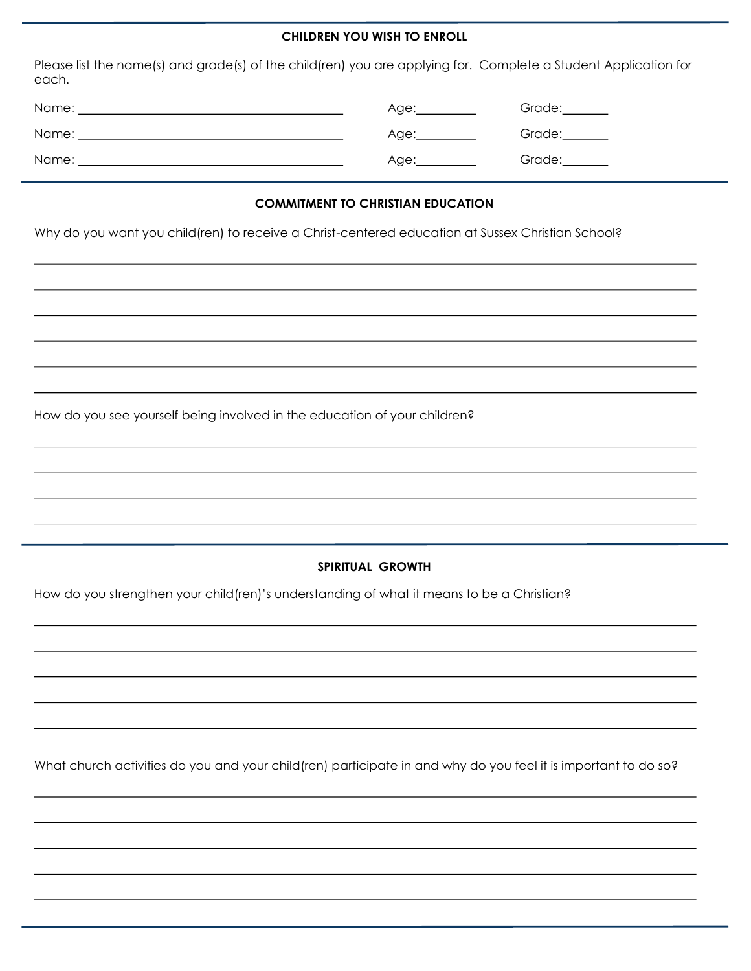### **CHILDREN YOU WISH TO ENROLL**

Please list the name(s) and grade(s) of the child(ren) you are applying for. Complete a Student Application for each.

| Name: | Age:                               | Grade:        |
|-------|------------------------------------|---------------|
| Name: | Age:<br>and the state of the state | Grade:        |
| Name: | Age:                               | Grade:_______ |

# **COMMITMENT TO CHRISTIAN EDUCATION**

Why do you want you child(ren) to receive a Christ-centered education at Sussex Christian School?

How do you see yourself being involved in the education of your children?

# **SPIRITUAL GROWTH**

How do you strengthen your child(ren)'s understanding of what it means to be a Christian?

What church activities do you and your child(ren) participate in and why do you feel it is important to do so?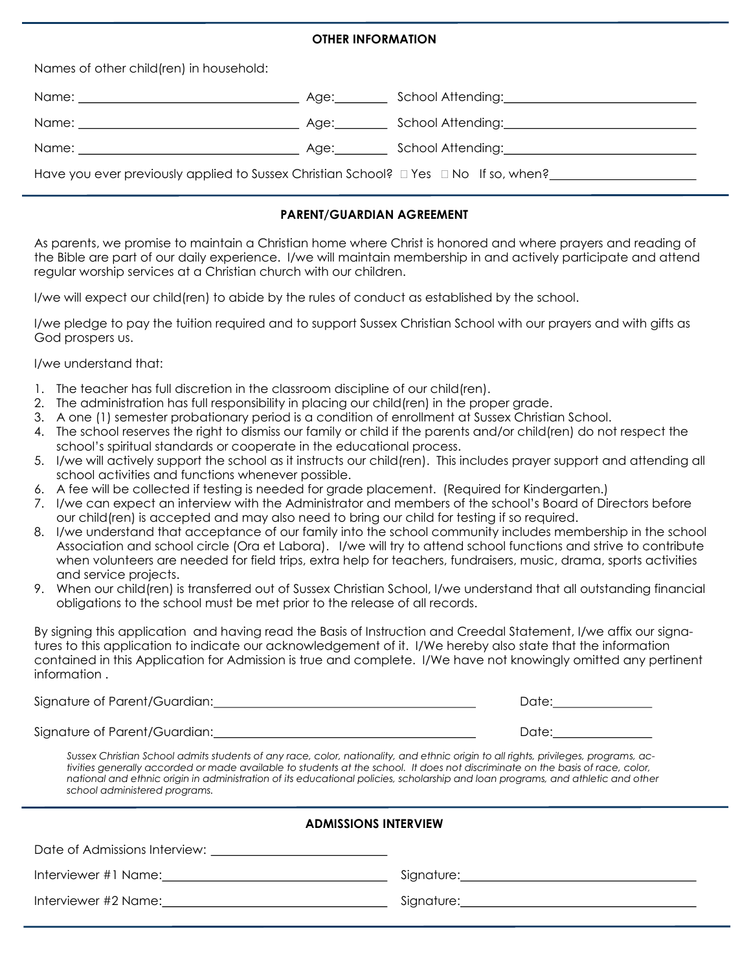# **OTHER INFORMATION**

Names of other child(ren) in household:

|                                                                                      | Age: | School Attending: The Contract of School Attending:        |  |  |
|--------------------------------------------------------------------------------------|------|------------------------------------------------------------|--|--|
|                                                                                      | Age: |                                                            |  |  |
|                                                                                      | Age: | School Attending: National Action of the School Attending: |  |  |
| Have you ever previously applied to Sussex Christian School? □ Yes □ No If so, when? |      |                                                            |  |  |

### **PARENT/GUARDIAN AGREEMENT**

As parents, we promise to maintain a Christian home where Christ is honored and where prayers and reading of the Bible are part of our daily experience. I/we will maintain membership in and actively participate and attend regular worship services at a Christian church with our children.

I/we will expect our child(ren) to abide by the rules of conduct as established by the school.

I/we pledge to pay the tuition required and to support Sussex Christian School with our prayers and with gifts as God prospers us.

I/we understand that:

- 1. The teacher has full discretion in the classroom discipline of our child(ren).
- 2. The administration has full responsibility in placing our child(ren) in the proper grade.
- 3. A one (1) semester probationary period is a condition of enrollment at Sussex Christian School.
- 4. The school reserves the right to dismiss our family or child if the parents and/or child(ren) do not respect the school's spiritual standards or cooperate in the educational process.
- 5. I/we will actively support the school as it instructs our child(ren). This includes prayer support and attending all school activities and functions whenever possible.
- 6. A fee will be collected if testing is needed for grade placement. (Required for Kindergarten.)
- 7. I/we can expect an interview with the Administrator and members of the school's Board of Directors before our child(ren) is accepted and may also need to bring our child for testing if so required.
- 8. I/we understand that acceptance of our family into the school community includes membership in the school Association and school circle (Ora et Labora). I/we will try to attend school functions and strive to contribute when volunteers are needed for field trips, extra help for teachers, fundraisers, music, drama, sports activities and service projects.
- 9. When our child(ren) is transferred out of Sussex Christian School, I/we understand that all outstanding financial obligations to the school must be met prior to the release of all records.

By signing this application and having read the Basis of Instruction and Creedal Statement, I/we affix our signatures to this application to indicate our acknowledgement of it. I/We hereby also state that the information contained in this Application for Admission is true and complete. I/We have not knowingly omitted any pertinent information .

Signature of Parent/Guardian: University of Parent Australian and Date:

Signature of Parent/Guardian: Date:

*Sussex Christian School admits students of any race, color, nationality, and ethnic origin to all rights, privileges, programs, activities generally accorded or made available to students at the school. It does not discriminate on the basis of race, color, national and ethnic origin in administration of its educational policies, scholarship and loan programs, and athletic and other school administered programs.*

| <b>ADMISSIONS INTERVIEW</b> |  |  |  |  |
|-----------------------------|--|--|--|--|
|                             |  |  |  |  |
|                             |  |  |  |  |
|                             |  |  |  |  |